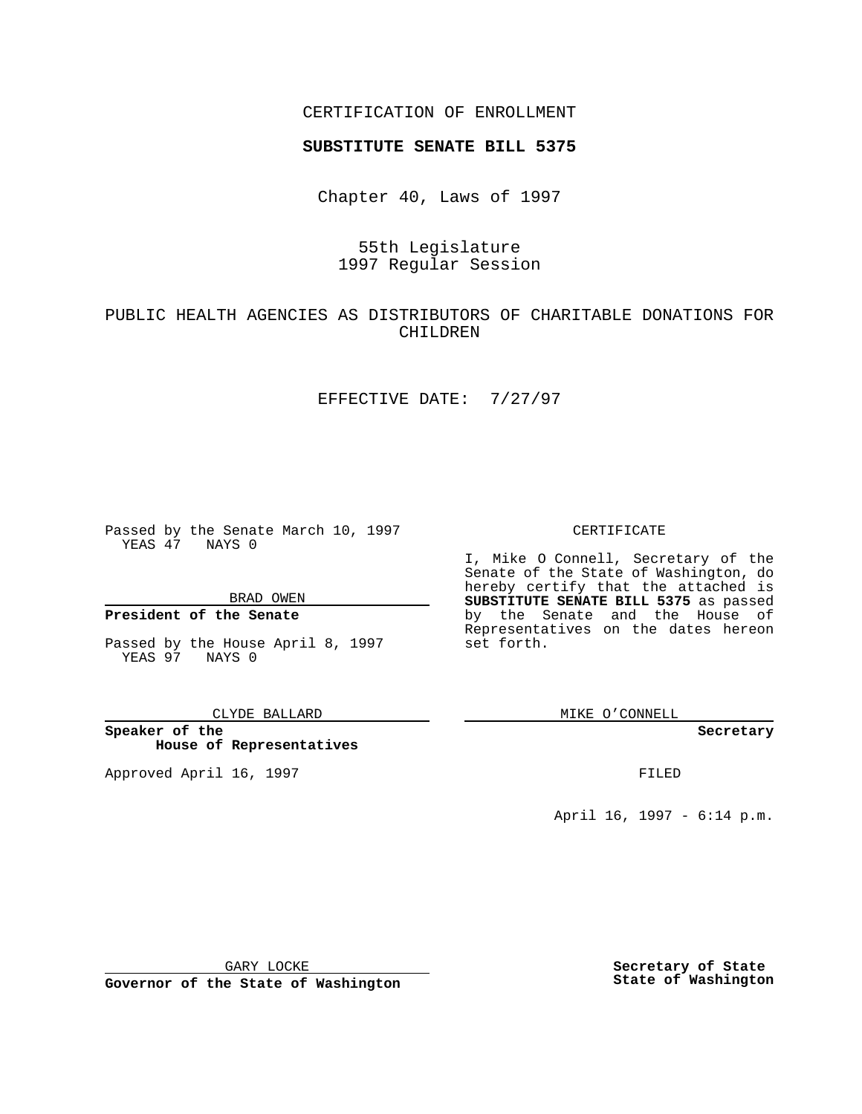### CERTIFICATION OF ENROLLMENT

# **SUBSTITUTE SENATE BILL 5375**

Chapter 40, Laws of 1997

# 55th Legislature 1997 Regular Session

### PUBLIC HEALTH AGENCIES AS DISTRIBUTORS OF CHARITABLE DONATIONS FOR CHILDREN

#### EFFECTIVE DATE: 7/27/97

Passed by the Senate March 10, 1997 YEAS 47 NAYS 0

BRAD OWEN

### **President of the Senate**

Passed by the House April 8, 1997 YEAS 97 NAYS 0

CLYDE BALLARD

**Speaker of the House of Representatives**

Approved April 16, 1997 **FILED** 

#### CERTIFICATE

I, Mike O Connell, Secretary of the Senate of the State of Washington, do hereby certify that the attached is **SUBSTITUTE SENATE BILL 5375** as passed by the Senate and the House of Representatives on the dates hereon set forth.

MIKE O'CONNELL

**Secretary**

April 16, 1997 - 6:14 p.m.

GARY LOCKE

**Governor of the State of Washington**

**Secretary of State State of Washington**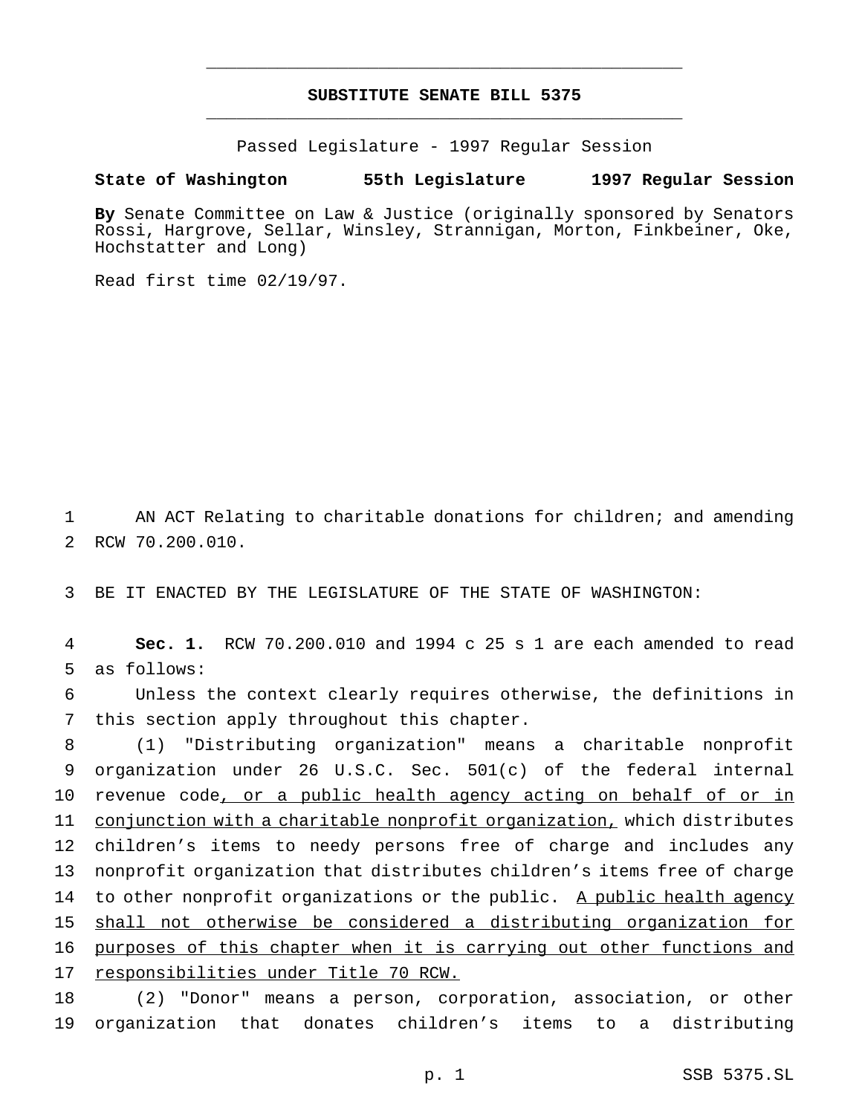## **SUBSTITUTE SENATE BILL 5375** \_\_\_\_\_\_\_\_\_\_\_\_\_\_\_\_\_\_\_\_\_\_\_\_\_\_\_\_\_\_\_\_\_\_\_\_\_\_\_\_\_\_\_\_\_\_\_

\_\_\_\_\_\_\_\_\_\_\_\_\_\_\_\_\_\_\_\_\_\_\_\_\_\_\_\_\_\_\_\_\_\_\_\_\_\_\_\_\_\_\_\_\_\_\_

Passed Legislature - 1997 Regular Session

### **State of Washington 55th Legislature 1997 Regular Session**

**By** Senate Committee on Law & Justice (originally sponsored by Senators Rossi, Hargrove, Sellar, Winsley, Strannigan, Morton, Finkbeiner, Oke, Hochstatter and Long)

Read first time 02/19/97.

1 AN ACT Relating to charitable donations for children; and amending 2 RCW 70.200.010.

3 BE IT ENACTED BY THE LEGISLATURE OF THE STATE OF WASHINGTON:

4 **Sec. 1.** RCW 70.200.010 and 1994 c 25 s 1 are each amended to read 5 as follows:

6 Unless the context clearly requires otherwise, the definitions in 7 this section apply throughout this chapter.

8 (1) "Distributing organization" means a charitable nonprofit 9 organization under 26 U.S.C. Sec. 501(c) of the federal internal 10 revenue code, or a public health agency acting on behalf of or in 11 conjunction with a charitable nonprofit organization, which distributes 12 children's items to needy persons free of charge and includes any 13 nonprofit organization that distributes children's items free of charge 14 to other nonprofit organizations or the public. A public health agency 15 shall not otherwise be considered a distributing organization for 16 purposes of this chapter when it is carrying out other functions and 17 responsibilities under Title 70 RCW.

18 (2) "Donor" means a person, corporation, association, or other 19 organization that donates children's items to a distributing